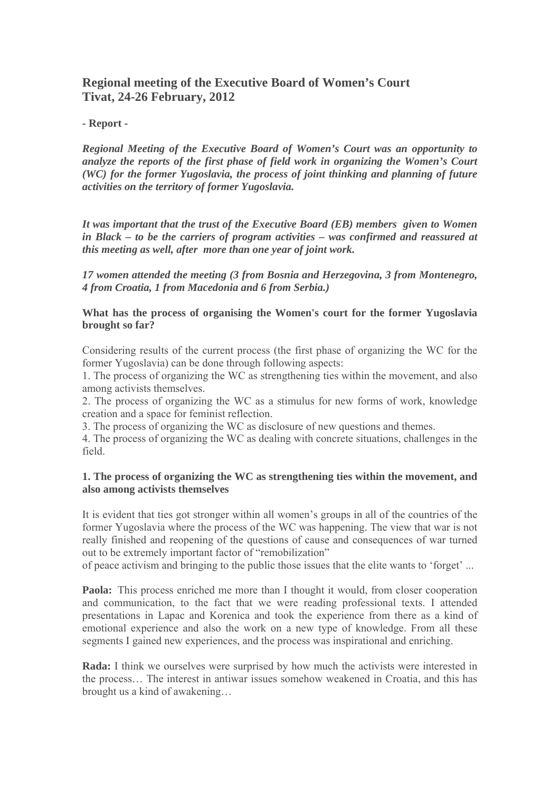# **Regional meeting of the Executive Board of Women's Court Tivat, 24-26 February, 2012**

# **- Report -**

*Regional Meeting of the Executive Board of Women's Court was an opportunity to analyze the reports of the first phase of field work in organizing the Women's Court (WC) for the former Yugoslavia, the process of joint thinking and planning of future activities on the territory of former Yugoslavia.*

*It was important that the trust of the Executive Board (EB) members given to Women in Black – to be the carriers of program activities – was confirmed and reassured at this meeting as well, after more than one year of joint work.* 

*17 women attended the meeting (3 from Bosnia and Herzegovina, 3 from Montenegro, 4 from Croatia, 1 from Macedonia and 6 from Serbia.)* 

**What has the process of organising the Women's court for the former Yugoslavia brought so far?** 

Considering results of the current process (the first phase of organizing the WC for the former Yugoslavia) can be done through following aspects:

1. The process of organizing the WC as strengthening ties within the movement, and also among activists themselves.

2. The process of organizing the WC as a stimulus for new forms of work, knowledge creation and a space for feminist reflection.

3. The process of organizing the WC as disclosure of new questions and themes.

4. The process of organizing the WC as dealing with concrete situations, challenges in the field.

# **1. The process of organizing the WC as strengthening ties within the movement, and also among activists themselves**

It is evident that ties got stronger within all women's groups in all of the countries of the former Yugoslavia where the process of the WC was happening. The view that war is not really finished and reopening of the questions of cause and consequences of war turned out to be extremely important factor of "remobilization"

of peace activism and bringing to the public those issues that the elite wants to 'forget' ...

**Paola:** This process enriched me more than I thought it would, from closer cooperation and communication, to the fact that we were reading professional texts. I attended presentations in Lapac and Korenica and took the experience from there as a kind of emotional experience and also the work on a new type of knowledge. From all these segments I gained new experiences, and the process was inspirational and enriching.

**Rada:** I think we ourselves were surprised by how much the activists were interested in the process… The interest in antiwar issues somehow weakened in Croatia, and this has brought us a kind of awakening…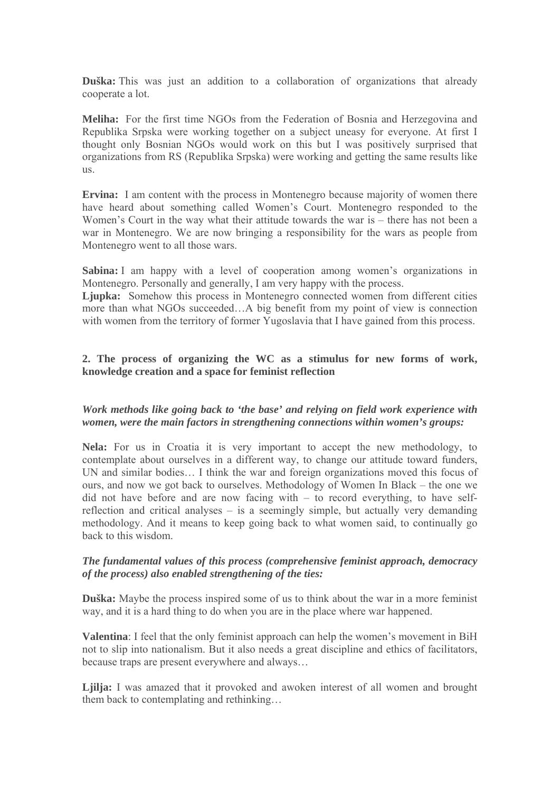**Duška:** This was just an addition to a collaboration of organizations that already cooperate a lot.

**Meliha:** For the first time NGOs from the Federation of Bosnia and Herzegovina and Republika Srpska were working together on a subject uneasy for everyone. At first I thought only Bosnian NGOs would work on this but I was positively surprised that organizations from RS (Republika Srpska) were working and getting the same results like us.

**Ervina:** I am content with the process in Montenegro because majority of women there have heard about something called Women's Court. Montenegro responded to the Women's Court in the way what their attitude towards the war is – there has not been a war in Montenegro. We are now bringing a responsibility for the wars as people from Montenegro went to all those wars.

**Sabina:** I am happy with a level of cooperation among women's organizations in Montenegro. Personally and generally, I am very happy with the process.

**Ljupka:** Somehow this process in Montenegro connected women from different cities more than what NGOs succeeded…A big benefit from my point of view is connection with women from the territory of former Yugoslavia that I have gained from this process.

## **2. The process of organizing the WC as a stimulus for new forms of work, knowledge creation and a space for feminist reflection**

## *Work methods like going back to 'the base' and relying on field work experience with women, were the main factors in strengthening connections within women's groups:*

**Nela:** For us in Croatia it is very important to accept the new methodology, to contemplate about ourselves in a different way, to change our attitude toward funders, UN and similar bodies… I think the war and foreign organizations moved this focus of ours, and now we got back to ourselves. Methodology of Women In Black – the one we did not have before and are now facing with – to record everything, to have selfreflection and critical analyses – is a seemingly simple, but actually very demanding methodology. And it means to keep going back to what women said, to continually go back to this wisdom.

### *The fundamental values of this process (comprehensive feminist approach, democracy of the process) also enabled strengthening of the ties:*

**Duška:** Maybe the process inspired some of us to think about the war in a more feminist way, and it is a hard thing to do when you are in the place where war happened.

**Valentina**: I feel that the only feminist approach can help the women's movement in BiH not to slip into nationalism. But it also needs a great discipline and ethics of facilitators, because traps are present everywhere and always…

**Ljilja:** I was amazed that it provoked and awoken interest of all women and brought them back to contemplating and rethinking…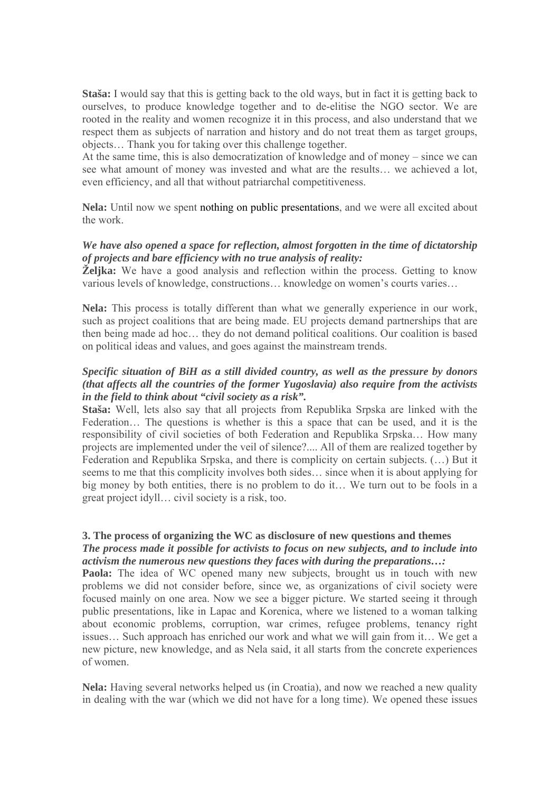**Staša:** I would say that this is getting back to the old ways, but in fact it is getting back to ourselves, to produce knowledge together and to de-elitise the NGO sector. We are rooted in the reality and women recognize it in this process, and also understand that we respect them as subjects of narration and history and do not treat them as target groups, objects… Thank you for taking over this challenge together.

At the same time, this is also democratization of knowledge and of money – since we can see what amount of money was invested and what are the results… we achieved a lot, even efficiency, and all that without patriarchal competitiveness.

**Nela:** Until now we spent nothing on public presentations, and we were all excited about the work.

# *We have also opened a space for reflection, almost forgotten in the time of dictatorship of projects and bare efficiency with no true analysis of reality:*

**Željka:** We have a good analysis and reflection within the process. Getting to know various levels of knowledge, constructions… knowledge on women's courts varies…

**Nela:** This process is totally different than what we generally experience in our work, such as project coalitions that are being made. EU projects demand partnerships that are then being made ad hoc… they do not demand political coalitions. Our coalition is based on political ideas and values, and goes against the mainstream trends.

# *Specific situation of BiH as a still divided country, as well as the pressure by donors (that affects all the countries of the former Yugoslavia) also require from the activists in the field to think about "civil society as a risk".*

**Staša:** Well, lets also say that all projects from Republika Srpska are linked with the Federation… The questions is whether is this a space that can be used, and it is the responsibility of civil societies of both Federation and Republika Srpska… How many projects are implemented under the veil of silence?.... All of them are realized together by Federation and Republika Srpska, and there is complicity on certain subjects. (…) But it seems to me that this complicity involves both sides… since when it is about applying for big money by both entities, there is no problem to do it… We turn out to be fools in a great project idyll… civil society is a risk, too.

# **3. The process of organizing the WC as disclosure of new questions and themes**

#### *The process made it possible for activists to focus on new subjects, and to include into activism the numerous new questions they faces with during the preparations…:*

**Paola:** The idea of WC opened many new subjects, brought us in touch with new problems we did not consider before, since we, as organizations of civil society were focused mainly on one area. Now we see a bigger picture. We started seeing it through public presentations, like in Lapac and Korenica, where we listened to a woman talking about economic problems, corruption, war crimes, refugee problems, tenancy right issues… Such approach has enriched our work and what we will gain from it… We get a new picture, new knowledge, and as Nela said, it all starts from the concrete experiences of women.

**Nela:** Having several networks helped us (in Croatia), and now we reached a new quality in dealing with the war (which we did not have for a long time). We opened these issues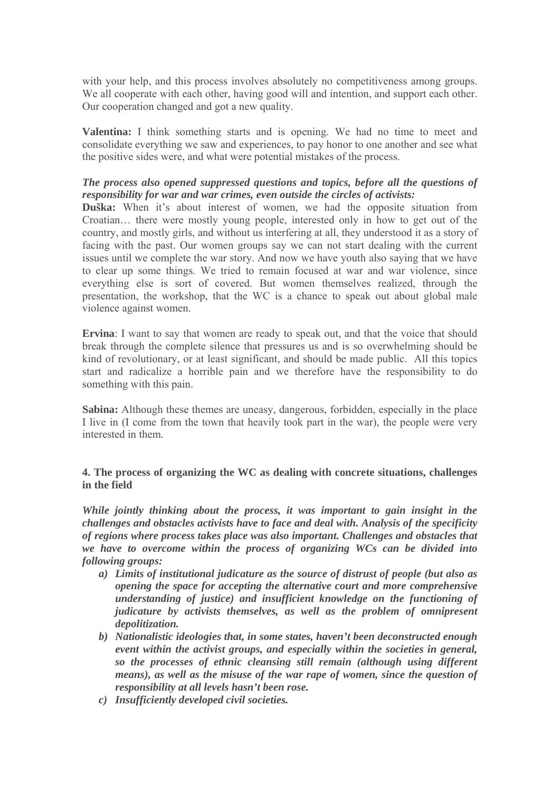with your help, and this process involves absolutely no competitiveness among groups. We all cooperate with each other, having good will and intention, and support each other. Our cooperation changed and got a new quality.

**Valentina:** I think something starts and is opening. We had no time to meet and consolidate everything we saw and experiences, to pay honor to one another and see what the positive sides were, and what were potential mistakes of the process.

## *The process also opened suppressed questions and topics, before all the questions of responsibility for war and war crimes, even outside the circles of activists:*

**Duška:** When it's about interest of women, we had the opposite situation from Croatian… there were mostly young people, interested only in how to get out of the country, and mostly girls, and without us interfering at all, they understood it as a story of facing with the past. Our women groups say we can not start dealing with the current issues until we complete the war story. And now we have youth also saying that we have to clear up some things. We tried to remain focused at war and war violence, since everything else is sort of covered. But women themselves realized, through the presentation, the workshop, that the WC is a chance to speak out about global male violence against women.

**Ervina**: I want to say that women are ready to speak out, and that the voice that should break through the complete silence that pressures us and is so overwhelming should be kind of revolutionary, or at least significant, and should be made public. All this topics start and radicalize a horrible pain and we therefore have the responsibility to do something with this pain.

**Sabina:** Although these themes are uneasy, dangerous, forbidden, especially in the place I live in (I come from the town that heavily took part in the war), the people were very interested in them.

# **4. The process of organizing the WC as dealing with concrete situations, challenges in the field**

*While jointly thinking about the process, it was important to gain insight in the challenges and obstacles activists have to face and deal with. Analysis of the specificity of regions where process takes place was also important. Challenges and obstacles that we have to overcome within the process of organizing WCs can be divided into following groups:* 

- *a) Limits of institutional judicature as the source of distrust of people (but also as opening the space for accepting the alternative court and more comprehensive understanding of justice) and insufficient knowledge on the functioning of judicature by activists themselves, as well as the problem of omnipresent depolitization.*
- *b) Nationalistic ideologies that, in some states, haven't been deconstructed enough event within the activist groups, and especially within the societies in general, so the processes of ethnic cleansing still remain (although using different means), as well as the misuse of the war rape of women, since the question of responsibility at all levels hasn't been rose.*
- *c) Insufficiently developed civil societies.*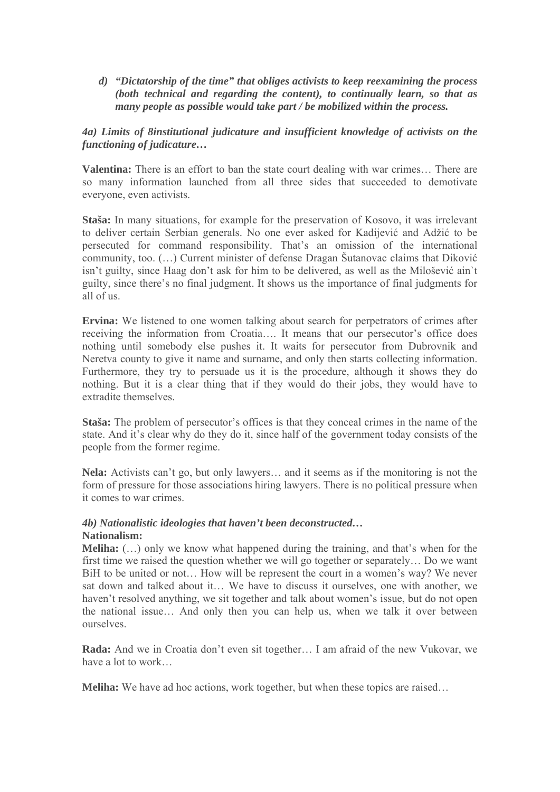*d) "Dictatorship of the time" that obliges activists to keep reexamining the process (both technical and regarding the content), to continually learn, so that as many people as possible would take part / be mobilized within the process.* 

# *4a) Limits of 8institutional judicature and insufficient knowledge of activists on the functioning of judicature…*

**Valentina:** There is an effort to ban the state court dealing with war crimes… There are so many information launched from all three sides that succeeded to demotivate everyone, even activists.

**Staša:** In many situations, for example for the preservation of Kosovo, it was irrelevant to deliver certain Serbian generals. No one ever asked for Kadijević and Adžić to be persecuted for command responsibility. That's an omission of the international community, too. (…) Current minister of defense Dragan Šutanovac claims that Diković isn't guilty, since Haag don't ask for him to be delivered, as well as the Milošević ain`t guilty, since there's no final judgment. It shows us the importance of final judgments for all of us.

**Ervina:** We listened to one women talking about search for perpetrators of crimes after receiving the information from Croatia…. It means that our persecutor's office does nothing until somebody else pushes it. It waits for persecutor from Dubrovnik and Neretva county to give it name and surname, and only then starts collecting information. Furthermore, they try to persuade us it is the procedure, although it shows they do nothing. But it is a clear thing that if they would do their jobs, they would have to extradite themselves.

**Staša:** The problem of persecutor's offices is that they conceal crimes in the name of the state. And it's clear why do they do it, since half of the government today consists of the people from the former regime.

**Nela:** Activists can't go, but only lawyers… and it seems as if the monitoring is not the form of pressure for those associations hiring lawyers. There is no political pressure when it comes to war crimes.

### *4b) Nationalistic ideologies that haven't been deconstructed…*  **Nationalism:**

**Meliha:** (…) only we know what happened during the training, and that's when for the first time we raised the question whether we will go together or separately… Do we want BiH to be united or not… How will be represent the court in a women's way? We never sat down and talked about it… We have to discuss it ourselves, one with another, we haven't resolved anything, we sit together and talk about women's issue, but do not open the national issue… And only then you can help us, when we talk it over between ourselves.

**Rada:** And we in Croatia don't even sit together… I am afraid of the new Vukovar, we have a lot to work…

**Meliha:** We have ad hoc actions, work together, but when these topics are raised...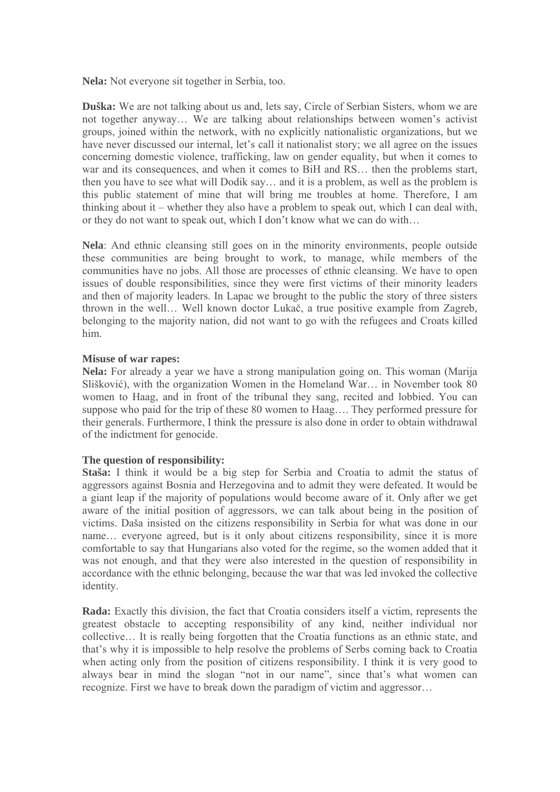**Nela:** Not everyone sit together in Serbia, too.

**Duška:** We are not talking about us and, lets say, Circle of Serbian Sisters, whom we are not together anyway… We are talking about relationships between women's activist groups, joined within the network, with no explicitly nationalistic organizations, but we have never discussed our internal, let's call it nationalist story; we all agree on the issues concerning domestic violence, trafficking, law on gender equality, but when it comes to war and its consequences, and when it comes to BiH and RS... then the problems start, then you have to see what will Dodik say… and it is a problem, as well as the problem is this public statement of mine that will bring me troubles at home. Therefore, I am thinking about it – whether they also have a problem to speak out, which I can deal with, or they do not want to speak out, which I don't know what we can do with…

**Nela**: And ethnic cleansing still goes on in the minority environments, people outside these communities are being brought to work, to manage, while members of the communities have no jobs. All those are processes of ethnic cleansing. We have to open issues of double responsibilities, since they were first victims of their minority leaders and then of majority leaders. In Lapac we brought to the public the story of three sisters thrown in the well… Well known doctor Lukač, a true positive example from Zagreb, belonging to the majority nation, did not want to go with the refugees and Croats killed him.

### **Misuse of war rapes:**

**Nela:** For already a year we have a strong manipulation going on. This woman (Marija Slišković), with the organization Women in the Homeland War… in November took 80 women to Haag, and in front of the tribunal they sang, recited and lobbied. You can suppose who paid for the trip of these 80 women to Haag…. They performed pressure for their generals. Furthermore, I think the pressure is also done in order to obtain withdrawal of the indictment for genocide.

#### **The question of responsibility:**

**Staša:** I think it would be a big step for Serbia and Croatia to admit the status of aggressors against Bosnia and Herzegovina and to admit they were defeated. It would be a giant leap if the majority of populations would become aware of it. Only after we get aware of the initial position of aggressors, we can talk about being in the position of victims. Daša insisted on the citizens responsibility in Serbia for what was done in our name… everyone agreed, but is it only about citizens responsibility, since it is more comfortable to say that Hungarians also voted for the regime, so the women added that it was not enough, and that they were also interested in the question of responsibility in accordance with the ethnic belonging, because the war that was led invoked the collective identity.

**Rada:** Exactly this division, the fact that Croatia considers itself a victim, represents the greatest obstacle to accepting responsibility of any kind, neither individual nor collective… It is really being forgotten that the Croatia functions as an ethnic state, and that's why it is impossible to help resolve the problems of Serbs coming back to Croatia when acting only from the position of citizens responsibility. I think it is very good to always bear in mind the slogan "not in our name", since that's what women can recognize. First we have to break down the paradigm of victim and aggressor…